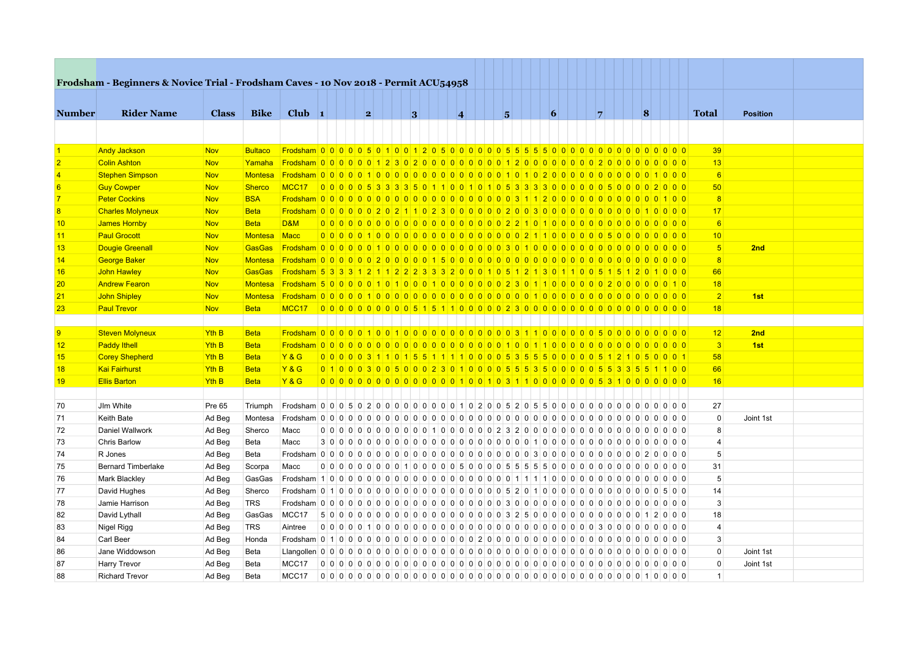|                | Frodsham - Beginners & Novice Trial - Frodsham Caves - 10 Nov 2018 - Permit ACU54958 |              |                |                                                                                          |  |   |                                                                                 |   |                     |  |   |  |   |                |  |          |                                            |                |                 |  |
|----------------|--------------------------------------------------------------------------------------|--------------|----------------|------------------------------------------------------------------------------------------|--|---|---------------------------------------------------------------------------------|---|---------------------|--|---|--|---|----------------|--|----------|--------------------------------------------|----------------|-----------------|--|
|                |                                                                                      |              |                |                                                                                          |  |   |                                                                                 |   |                     |  |   |  |   |                |  |          |                                            |                |                 |  |
| <b>Number</b>  | <b>Rider Name</b>                                                                    | <b>Class</b> | <b>Bike</b>    | Club $\vert$ 1                                                                           |  | 2 |                                                                                 | 3 | $\overline{\bf{4}}$ |  | 5 |  | 6 | $\overline{7}$ |  | $\bf{8}$ |                                            | <b>Total</b>   | <b>Position</b> |  |
|                |                                                                                      |              |                |                                                                                          |  |   |                                                                                 |   |                     |  |   |  |   |                |  |          |                                            |                |                 |  |
|                |                                                                                      |              |                |                                                                                          |  |   |                                                                                 |   |                     |  |   |  |   |                |  |          |                                            |                |                 |  |
|                | <b>Andy Jackson</b>                                                                  | <b>Nov</b>   | <b>Bultaco</b> |                                                                                          |  |   |                                                                                 |   |                     |  |   |  |   |                |  |          |                                            | 39             |                 |  |
|                | <b>Colin Ashton</b>                                                                  | <b>Nov</b>   | Yamaha         |                                                                                          |  |   |                                                                                 |   |                     |  |   |  |   |                |  |          |                                            | 13             |                 |  |
|                | <b>Stephen Simpson</b>                                                               | <b>Nov</b>   | Montesa        |                                                                                          |  |   |                                                                                 |   |                     |  |   |  |   |                |  |          |                                            | 6              |                 |  |
| 6              | <b>Guy Cowper</b>                                                                    | <b>Nov</b>   | Sherco         |                                                                                          |  |   |                                                                                 |   |                     |  |   |  |   |                |  |          |                                            | 50             |                 |  |
|                | <b>Peter Cockins</b>                                                                 | <b>Nov</b>   | <b>BSA</b>     |                                                                                          |  |   |                                                                                 |   |                     |  |   |  |   |                |  |          | 100                                        | 8              |                 |  |
| $\overline{8}$ | <b>Charles Molyneux</b>                                                              | <b>Nov</b>   | <b>Beta</b>    |                                                                                          |  |   |                                                                                 |   |                     |  |   |  |   |                |  |          |                                            | 17             |                 |  |
| 10             | James Hornby                                                                         | <b>Nov</b>   | <b>Beta</b>    | D&M                                                                                      |  |   |                                                                                 |   |                     |  |   |  |   |                |  |          |                                            | 6              |                 |  |
| 11             | <b>Paul Grocott</b>                                                                  | <b>Nov</b>   | Montesa        | Macc                                                                                     |  |   |                                                                                 |   |                     |  |   |  |   |                |  |          |                                            | 10             |                 |  |
| 13             | <b>Dougie Greenall</b>                                                               | <b>Nov</b>   | <b>GasGas</b>  |                                                                                          |  |   |                                                                                 |   |                     |  |   |  |   |                |  |          | $0$ 0 $0$                                  | 5 <sub>5</sub> | 2nd             |  |
| 14             | <b>George Baker</b>                                                                  | <b>Nov</b>   | Montesa        |                                                                                          |  |   |                                                                                 |   |                     |  |   |  |   |                |  |          | $0$ 0 $0$                                  | 8              |                 |  |
| 16             | John Hawley                                                                          | <b>Nov</b>   | GasGas         | Frodsham 5 3 3 3 4 2 1 1 2 2 2 3 3 3 2 0 0 0 1 0 5 1 2 1 3 0 1 1 0 0 5 1 5 1 2 0 1 0 0 0 |  |   |                                                                                 |   |                     |  |   |  |   |                |  |          |                                            | 66             |                 |  |
| 20             | <b>Andrew Fearon</b>                                                                 | <b>Nov</b>   | Montesa        |                                                                                          |  |   |                                                                                 |   |                     |  |   |  |   |                |  |          | 010                                        | 18             |                 |  |
| 21             | John Shipley                                                                         | <b>Nov</b>   | Montesa        |                                                                                          |  |   |                                                                                 |   |                     |  |   |  |   |                |  |          |                                            | $\overline{2}$ | 1st             |  |
| 23             | <b>Paul Trevor</b>                                                                   | <b>Nov</b>   | <b>Beta</b>    | MCC17                                                                                    |  |   |                                                                                 |   |                     |  |   |  |   |                |  |          |                                            | 18             |                 |  |
|                |                                                                                      |              |                |                                                                                          |  |   |                                                                                 |   |                     |  |   |  |   |                |  |          |                                            |                |                 |  |
| $\overline{9}$ | Steven Molyneux                                                                      | <b>Yth B</b> | <b>Beta</b>    |                                                                                          |  |   |                                                                                 |   |                     |  |   |  |   |                |  |          |                                            | 12             | 2nd             |  |
| 12             | <b>Paddy Ithell</b>                                                                  | Yth B        | <b>Beta</b>    |                                                                                          |  |   |                                                                                 |   |                     |  |   |  |   |                |  |          |                                            | 3              | 1st             |  |
| 15             | <b>Corey Shepherd</b>                                                                | <b>Yth B</b> | <b>Beta</b>    | Y & G                                                                                    |  |   | 00000311015511100000535550000051210500001                                       |   |                     |  |   |  |   |                |  |          |                                            | 58             |                 |  |
| 18             | <b>Kai Fairhurst</b>                                                                 | Yth B        | <b>Beta</b>    | Y & G                                                                                    |  |   | 0 1 0 0 0 3 0 0 5 0 0 0 2 3 0 1 0 0 0 0 5 5 5 3 5 0 0 0 0 0 5 5 3 3 5 6 1 1 0 0 |   |                     |  |   |  |   |                |  |          |                                            | 66             |                 |  |
| 19             | <b>Ellis Barton</b>                                                                  | Yth B        | <b>Beta</b>    | <b>Y&amp;G</b>                                                                           |  |   |                                                                                 |   |                     |  |   |  |   |                |  |          |                                            | 16             |                 |  |
|                |                                                                                      |              |                |                                                                                          |  |   |                                                                                 |   |                     |  |   |  |   |                |  |          |                                            |                |                 |  |
| 70             | Jlm White                                                                            | Pre 65       | Triumph        |                                                                                          |  |   |                                                                                 |   |                     |  |   |  |   |                |  |          |                                            | 27             |                 |  |
| 71             | Keith Bate                                                                           | Ad Beg       | Montesa        |                                                                                          |  |   |                                                                                 |   |                     |  |   |  |   |                |  |          |                                            | $\mathbf 0$    | Joint 1st       |  |
| 72             | Daniel Wallwork                                                                      | Ad Beg       | Sherco         | Macc                                                                                     |  |   |                                                                                 |   |                     |  |   |  |   |                |  |          | $\begin{array}{c} 0 & 0 & 0 \end{array}$   | 8              |                 |  |
| 73             | Chris Barlow                                                                         | Ad Beg       | Beta           | Macc                                                                                     |  |   |                                                                                 |   |                     |  |   |  |   |                |  |          | $\begin{array}{c c} 0 & 0 & 0 \end{array}$ | $\overline{4}$ |                 |  |
| 74             | R Jones                                                                              | Ad Beg       | Beta           |                                                                                          |  |   |                                                                                 |   |                     |  |   |  |   |                |  |          |                                            | 5              |                 |  |
| 75             | <b>Bernard Timberlake</b>                                                            | Ad Beg       | Scorpa         | Macc                                                                                     |  |   |                                                                                 |   |                     |  |   |  |   |                |  |          |                                            | 31             |                 |  |
| 76             | Mark Blackley                                                                        | Ad Beg       | GasGas         |                                                                                          |  |   |                                                                                 |   |                     |  |   |  |   |                |  |          |                                            | 5              |                 |  |
| 77             | David Hughes                                                                         | Ad Beg       | Sherco         |                                                                                          |  |   |                                                                                 |   |                     |  |   |  |   |                |  |          | 500                                        | 14             |                 |  |
| 78             | Jamie Harrison                                                                       | Ad Beg       | <b>TRS</b>     |                                                                                          |  |   |                                                                                 |   |                     |  |   |  |   |                |  |          |                                            | 3              |                 |  |
| 82             | David Lythall                                                                        | Ad Beg       | GasGas         | MCC17                                                                                    |  |   |                                                                                 |   |                     |  |   |  |   |                |  |          |                                            | 18             |                 |  |
| 83             | Nigel Rigg                                                                           | Ad Beg       | <b>TRS</b>     | Aintree                                                                                  |  |   |                                                                                 |   |                     |  |   |  |   |                |  |          |                                            | $\overline{4}$ |                 |  |
| 84             | Carl Beer                                                                            | Ad Beg       | Honda          |                                                                                          |  |   |                                                                                 |   |                     |  |   |  |   |                |  |          | 0 <sub>0</sub>                             | 3              |                 |  |
| 86             | Jane Widdowson                                                                       | Ad Beg       | Beta           |                                                                                          |  |   |                                                                                 |   |                     |  |   |  |   |                |  |          |                                            | $\Omega$       | Joint 1st       |  |
| 87             | Harry Trevor                                                                         | Ad Beg       | Beta           | MCC17                                                                                    |  |   |                                                                                 |   |                     |  |   |  |   |                |  |          |                                            | $\Omega$       | Joint 1st       |  |
| 88             |                                                                                      |              | Beta           |                                                                                          |  |   |                                                                                 |   |                     |  |   |  |   |                |  |          |                                            | $\mathbf{1}$   |                 |  |
|                | <b>Richard Trevor</b>                                                                | Ad Beg       |                | MCC17                                                                                    |  |   |                                                                                 |   |                     |  |   |  |   |                |  |          |                                            |                |                 |  |